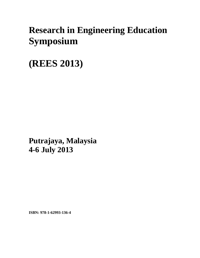## **Research in Engineering Education Symposium**

**(REES 2013)**

**Putrajaya, Malaysia 4-6 July 2013**

**ISBN: 978-1-62993-136-4**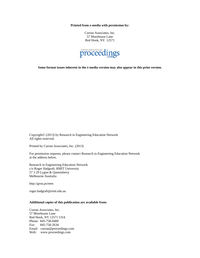**Printed from e-media with permission by:** 

Curran Associates, Inc. 57 Morehouse Lane Red Hook, NY 12571



**Some format issues inherent in the e-media version may also appear in this print version.** 

Copyright© (2013) by Research in Engineering Education Network All rights reserved.

Printed by Curran Associates, Inc. (2013)

For permission requests, please contact Research in Engineering Education Network at the address below.

Research in Engineering Education Network c/o Roger Hadgraft, RMIT University 57 3 29 Lygon & Queensberry Melbourne Australia

http://grou.ps/reen

roger.hadgraft@rmit.edu.au

## **Additional copies of this publication are available from:**

Curran Associates, Inc. 57 Morehouse Lane Red Hook, NY 12571 USA Phone: 845-758-0400 Fax: 845-758-2634 Email: curran@proceedings.com Web: www.proceedings.com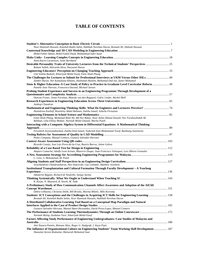## **TABLE OF CONTENTS**

| Noor Hamizah Hussain, Kamilah Radin Salim, Habibah Norehan Haron, Rosmah Ali, Habsah Hussain                                                                                                   |  |
|------------------------------------------------------------------------------------------------------------------------------------------------------------------------------------------------|--|
|                                                                                                                                                                                                |  |
| Mohd Fahmi Adnan, Mohd Fadzil Daud, Muhammad Sukri Saud                                                                                                                                        |  |
| Anna-Karin Carstensen, Jonte Bernhard                                                                                                                                                          |  |
| Desirable Personality Traits of University Lecturers from the Technical Students' Perspectives  25                                                                                             |  |
| Rohani Salleh, Hairuzila Idrus, Haryanni Harun                                                                                                                                                 |  |
|                                                                                                                                                                                                |  |
| Umi Soleha Radzali, Khairiyah Mohd Yusof, Fatin Aliah Phang                                                                                                                                    |  |
| The Challenges for Lectures to Submit for Professional Interviews at UKM Versus Other IHLs 40                                                                                                  |  |
| Zambri Harun, Nor Kamaliana Khamis, Hashimah Hashim, Mohamad Dali Isa, Zamri Mohamed<br>49. Stem & Higher Education-A Case Study of Policy to Practice in Graduate Level Curricular Reform  49 |  |
| Pamela Jean Theroux, Francesca Durand, Michael Jensen                                                                                                                                          |  |
| Probing Student Experience and Success in an Engineering Programme Through Development of a                                                                                                    |  |
| Duncan Fraser, Jonas Forsman, Maartje van den Bogaard, Cedric Linder, Rachel Moll                                                                                                              |  |
|                                                                                                                                                                                                |  |
| Jaideep Chandran                                                                                                                                                                               |  |
|                                                                                                                                                                                                |  |
| Hamidreza Kashefi, Roselainy Abdul Rahman, Zaleha Ismail, Soheila Firouzian                                                                                                                    |  |
|                                                                                                                                                                                                |  |
| Fatin Aliah Phang, Mohamad Bilal Ali, Md Nor Bakar, Noor Azlan Ahmad Zanzali, Nor Farahwahidah Ab                                                                                              |  |
| Rahman, Lilia Ellany Mohtar, Normah Mohd Ghazali, Marlia Puteh                                                                                                                                 |  |
| Interacting with a Computer Algebra System in Differential Equations: A Mathematical Thinking                                                                                                  |  |
|                                                                                                                                                                                                |  |
| Fereshteh Zeynivandnezhad, Zaleha binti Ismail, Yudariah binti Mohammad Yusof, Bambang Sumintono                                                                                               |  |
|                                                                                                                                                                                                |  |
| Pedro Company, Manuel Contero, Gustavo Salvador-Herranz                                                                                                                                        |  |
|                                                                                                                                                                                                |  |
| Ricardo Conejo, Jose Luis Perez-de-la-Cruz, Beatriz Barros, Jaime Galvez                                                                                                                       |  |
|                                                                                                                                                                                                |  |
| Amparo Camacho, Adolfo Leon Arenas, Mauricio Duque, Juan Francisco Velasquez, Luis Alberto Gonzalez                                                                                            |  |
| C. Liew, S. Mohammad, M. Puteh                                                                                                                                                                 |  |
|                                                                                                                                                                                                |  |
| Sivachandran Chandrasekaran, Alex Stojcevski, Guy Littlefair, Matthew Joordens                                                                                                                 |  |
| Institutional Transplantation and Cultural Formation Through Faculty Development – A Yearlong                                                                                                  |  |
|                                                                                                                                                                                                |  |
| Aikaterini Bagiati, Richard de Neufville, Sanjay Sarma                                                                                                                                         |  |
|                                                                                                                                                                                                |  |
| R. Karpe, N. Maynard, B. Atweh, M. Tade                                                                                                                                                        |  |
| A Preliminary Study of How Communication Channels Affect Awareness and Adoption of the AIChE                                                                                                   |  |
|                                                                                                                                                                                                |  |
| Debra Gilbuena, Christina Smith, Bill Brooks, Marina Miletic, Milo Koretsky                                                                                                                    |  |
| Students' ICT Conceptions and the Challenges in Acquiring ICT Skills for Engineering Learning  158<br>Rosmah Ali, Kamilah Radin Salim, Noor Hamizah Hussain, Habibah Norehan Haron             |  |
| A Distributed Collaborative Learning Tool Based on a Conceptual Map Paradigm and Natural                                                                                                       |  |
|                                                                                                                                                                                                |  |
| Gustavo Salvador-Herranz, Manuel Bano-Hernandez, David Perez-Lopez, Manuel Contero                                                                                                             |  |
| The Performance of Students Learning Thermodynamics Through an Online Courseware 172<br>Normah Mulop, Zaidatun Tasir, Khairiyah Mohd-Yusof                                                     |  |
| Factors Affecting Study Performance of Engineering Undergraduates: Case Studies of Malaysia and                                                                                                |  |
|                                                                                                                                                                                                |  |
| Aini Nazura Paimin, Maizam Alias, Roger G. Hadgraft, J. Kaya Prpic                                                                                                                             |  |
| 187 The Influence of Organizational Culture on Engineering Students' Team Working Skill Development  187<br>Shazaitul Azreen Rodzalan, Maisarah Mohamed Saat                                   |  |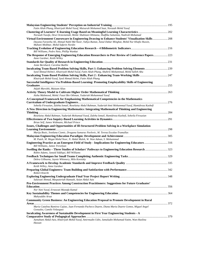| Fatin Aliah Phang, Khairiyah Mohd Yusof, Maisarah Mohamed Saat, Norazah Mohd Yusof                                                                                                                                                                  |  |
|-----------------------------------------------------------------------------------------------------------------------------------------------------------------------------------------------------------------------------------------------------|--|
|                                                                                                                                                                                                                                                     |  |
| Norazah Yusofa, Dewi Octavianiab, Mohd. Shahizan Othmana, Shaffika Suhaimia, Nadirah Mohamad                                                                                                                                                        |  |
| Virtual Environment Courseware in Engineering Drawing to Enhance Students' Visualization Skills 208<br>Dayana Farzeeha Ali, Ahmad Nabil Md Nasir, Yahya Buntat, Asnul Dahar Minghat, Mohd Nur Khafiz Hussin,<br>Mahani Mokhtar, Mohd Safarin Nordin |  |
| Bill Williams, Pedro Neto, Phillip Wankat                                                                                                                                                                                                           |  |
| The Response of Emerging Engineering Education Researchers to Peer Review of Conference Papers223<br>Anne Gardner, Keith Willey                                                                                                                     |  |
| Jonte Bernhard, Caroline Baillie                                                                                                                                                                                                                    |  |
|                                                                                                                                                                                                                                                     |  |
| Syed Ahmad Helmi1, Khairiyah Mohd-Yusof, Fatin Aliah Phang, Shahrin Mohammad, Mohd Salleh Abu                                                                                                                                                       |  |
| Khairiyah Mohd-Yusof, Syed Ahmad Helmi, Fatin Aliah Phang                                                                                                                                                                                           |  |
| Successful Intelligence Via Problem-Based Learning: Promoting Employability Skills of Engineering                                                                                                                                                   |  |
|                                                                                                                                                                                                                                                     |  |
| Atijah Marsithi, Maizam Alias                                                                                                                                                                                                                       |  |
| Aisha Mahmood, Mohd. Fauzi Bin Othman, Yudariah Mohammad Yusof                                                                                                                                                                                      |  |
| A Conceptual Framework for Emphasizing Mathematical Competencies in the Mathematics                                                                                                                                                                 |  |
|                                                                                                                                                                                                                                                     |  |
| Soheila Firouzian, Zaleha Ismail, Roselainy Abdul Rahman, Yudariah binti Mohammad Yusof, Hamidreza Kashefi                                                                                                                                          |  |
| A New Direction in Engineering Mathematics: Integrating Mathematical Thinking and Engineering                                                                                                                                                       |  |
|                                                                                                                                                                                                                                                     |  |
| Roselainy Abdul Rahman, Yudariah Mohamad Yusof, Zaleha Ismail, Hamidreza Kashefi, Soheila Firouzian                                                                                                                                                 |  |
|                                                                                                                                                                                                                                                     |  |
| Brian Self, James Widmann, Michael Prince<br>Issues, Challenges and Opportunities of Ill-Structured Problem Solving in a Workplace Simulation                                                                                                       |  |
|                                                                                                                                                                                                                                                     |  |
| Marija Bozic, Svetlana Cizmic, Dragana Sumarac Pavlovic, M. Teresa Escalas-Tramullas                                                                                                                                                                |  |
|                                                                                                                                                                                                                                                     |  |
| M. Puteh, M. Megat Mohd Noor, N. Abdul Malek, W. Wan Adnan, S. Mohammad                                                                                                                                                                             |  |
| Engineering Practice as an Emergent Field of Study - Implications for Engineering Educators 316<br>Bill Williams, James Trevelyan                                                                                                                   |  |
| Swelling the Ranks – Three Studies of Scholars' Pathways to Engineering Education Research 323<br>Robin Adams, Junaid Siddiqui, Bill Williams                                                                                                       |  |
| Debra Gilbuena, Jaynie Whinnery, Milo Koretsky                                                                                                                                                                                                      |  |
| Keith Willey, Anne Gardner                                                                                                                                                                                                                          |  |
|                                                                                                                                                                                                                                                     |  |
| <b>Robert Knecht</b>                                                                                                                                                                                                                                |  |
| Salawati Ahmad, Masputeriah Hamzah, Azian Abdul Aziz                                                                                                                                                                                                |  |
| Pro-Environment Practices Among Construction Practitioners: Suggestions for Future Graduates'                                                                                                                                                       |  |
| Nor'Aini Yusof, Ernawati Mustafa Kamal                                                                                                                                                                                                              |  |
| Mahvuddin Arsat                                                                                                                                                                                                                                     |  |
| <b>Community Green Business: An Engineering Education Proposal to Promote Development in Rural</b>                                                                                                                                                  |  |
| Maria Catalina Ramirez Cajiao, Juan Fernando Pacheco Duarte, Diana Maria Duarte Gomez, Miguel Angel<br>Gonzalez, Camilo Velasquez                                                                                                                   |  |
| Inculcating Awareness of Sustainable Development in First Year Engineering Students - A                                                                                                                                                             |  |
|                                                                                                                                                                                                                                                     |  |
| Azmahani Abdul-Aziz, Khairiyah Mohd-Yusof, Amirmudin Udin, Jamaludin Mohamad-Yatim, Wan-Haslina<br>Hassan                                                                                                                                           |  |